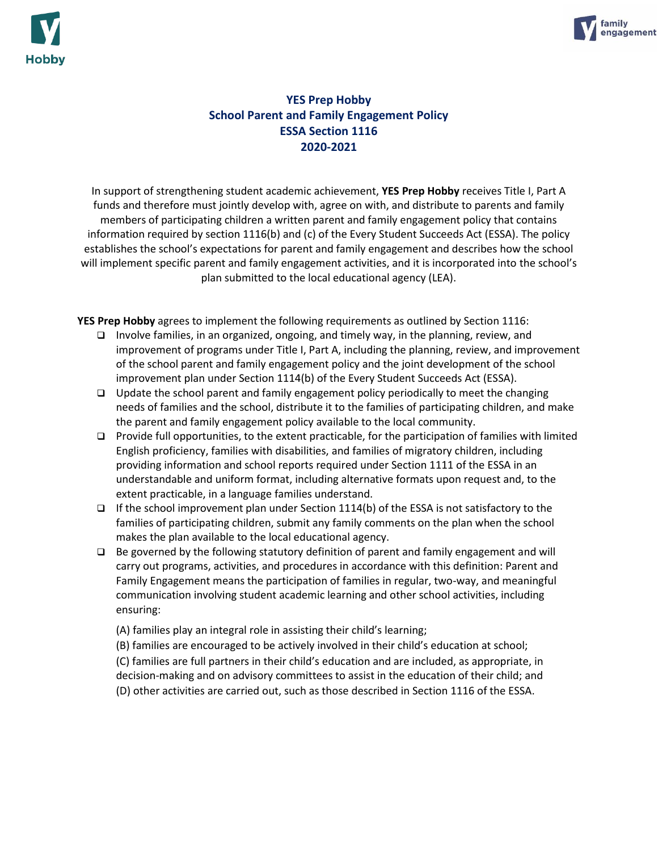



# **YES Prep Hobby School Parent and Family Engagement Policy ESSA Section 1116 2020-2021**

In support of strengthening student academic achievement, **YES Prep Hobby** receives Title I, Part A funds and therefore must jointly develop with, agree on with, and distribute to parents and family members of participating children a written parent and family engagement policy that contains information required by section 1116(b) and (c) of the Every Student Succeeds Act (ESSA). The policy establishes the school's expectations for parent and family engagement and describes how the school will implement specific parent and family engagement activities, and it is incorporated into the school's plan submitted to the local educational agency (LEA).

**YES Prep Hobby** agrees to implement the following requirements as outlined by Section 1116:

- ❑ Involve families, in an organized, ongoing, and timely way, in the planning, review, and improvement of programs under Title I, Part A, including the planning, review, and improvement of the school parent and family engagement policy and the joint development of the school improvement plan under Section 1114(b) of the Every Student Succeeds Act (ESSA).
- ❑ Update the school parent and family engagement policy periodically to meet the changing needs of families and the school, distribute it to the families of participating children, and make the parent and family engagement policy available to the local community.
- ❑ Provide full opportunities, to the extent practicable, for the participation of families with limited English proficiency, families with disabilities, and families of migratory children, including providing information and school reports required under Section 1111 of the ESSA in an understandable and uniform format, including alternative formats upon request and, to the extent practicable, in a language families understand.
- ❑ If the school improvement plan under Section 1114(b) of the ESSA is not satisfactory to the families of participating children, submit any family comments on the plan when the school makes the plan available to the local educational agency.
- ❑ Be governed by the following statutory definition of parent and family engagement and will carry out programs, activities, and procedures in accordance with this definition: Parent and Family Engagement means the participation of families in regular, two-way, and meaningful communication involving student academic learning and other school activities, including ensuring:
	- (A) families play an integral role in assisting their child's learning;
	- (B) families are encouraged to be actively involved in their child's education at school;

(C) families are full partners in their child's education and are included, as appropriate, in decision-making and on advisory committees to assist in the education of their child; and (D) other activities are carried out, such as those described in Section 1116 of the ESSA.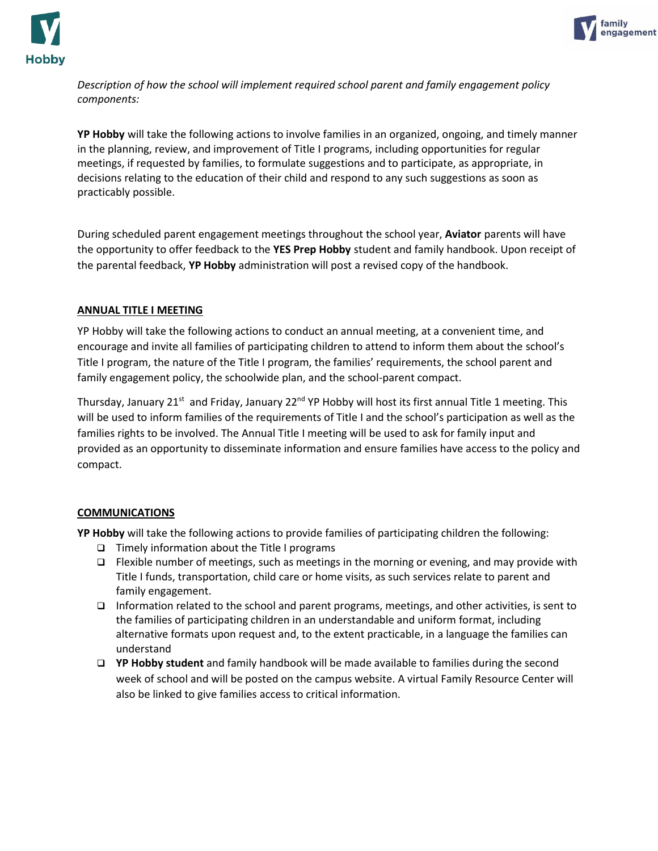



*Description of how the school will implement required school parent and family engagement policy components:* 

**YP Hobby** will take the following actions to involve families in an organized, ongoing, and timely manner in the planning, review, and improvement of Title I programs, including opportunities for regular meetings, if requested by families, to formulate suggestions and to participate, as appropriate, in decisions relating to the education of their child and respond to any such suggestions as soon as practicably possible.

During scheduled parent engagement meetings throughout the school year, **Aviator** parents will have the opportunity to offer feedback to the **YES Prep Hobby** student and family handbook. Upon receipt of the parental feedback, **YP Hobby** administration will post a revised copy of the handbook.

#### **ANNUAL TITLE I MEETING**

YP Hobby will take the following actions to conduct an annual meeting, at a convenient time, and encourage and invite all families of participating children to attend to inform them about the school's Title I program, the nature of the Title I program, the families' requirements, the school parent and family engagement policy, the schoolwide plan, and the school-parent compact.

Thursday, January 21<sup>st</sup> and Friday, January 22<sup>nd</sup> YP Hobby will host its first annual Title 1 meeting. This will be used to inform families of the requirements of Title I and the school's participation as well as the families rights to be involved. The Annual Title I meeting will be used to ask for family input and provided as an opportunity to disseminate information and ensure families have access to the policy and compact.

### **COMMUNICATIONS**

**YP Hobby** will take the following actions to provide families of participating children the following:

- ❑ Timely information about the Title I programs
- ❑ Flexible number of meetings, such as meetings in the morning or evening, and may provide with Title I funds, transportation, child care or home visits, as such services relate to parent and family engagement.
- ❑ Information related to the school and parent programs, meetings, and other activities, is sent to the families of participating children in an understandable and uniform format, including alternative formats upon request and, to the extent practicable, in a language the families can understand
- ❑ **YP Hobby student** and family handbook will be made available to families during the second week of school and will be posted on the campus website. A virtual Family Resource Center will also be linked to give families access to critical information.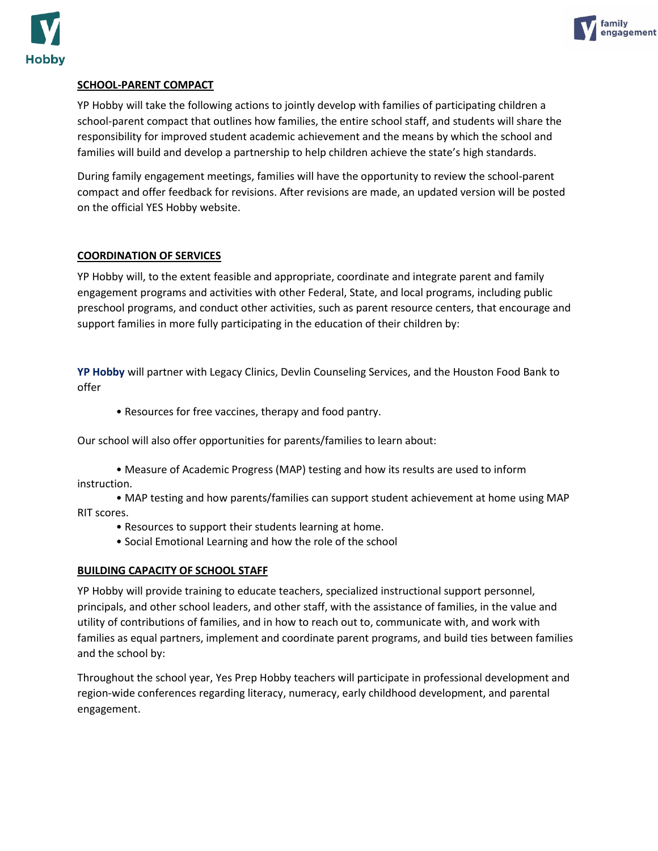



# **SCHOOL-PARENT COMPACT**

YP Hobby will take the following actions to jointly develop with families of participating children a school-parent compact that outlines how families, the entire school staff, and students will share the responsibility for improved student academic achievement and the means by which the school and families will build and develop a partnership to help children achieve the state's high standards.

During family engagement meetings, families will have the opportunity to review the school-parent compact and offer feedback for revisions. After revisions are made, an updated version will be posted on the official YES Hobby website.

## **COORDINATION OF SERVICES**

YP Hobby will, to the extent feasible and appropriate, coordinate and integrate parent and family engagement programs and activities with other Federal, State, and local programs, including public preschool programs, and conduct other activities, such as parent resource centers, that encourage and support families in more fully participating in the education of their children by:

**YP Hobby** will partner with Legacy Clinics, Devlin Counseling Services, and the Houston Food Bank to offer

• Resources for free vaccines, therapy and food pantry.

Our school will also offer opportunities for parents/families to learn about:

• Measure of Academic Progress (MAP) testing and how its results are used to inform instruction.

• MAP testing and how parents/families can support student achievement at home using MAP RIT scores.

- Resources to support their students learning at home.
- Social Emotional Learning and how the role of the school

### **BUILDING CAPACITY OF SCHOOL STAFF**

YP Hobby will provide training to educate teachers, specialized instructional support personnel, principals, and other school leaders, and other staff, with the assistance of families, in the value and utility of contributions of families, and in how to reach out to, communicate with, and work with families as equal partners, implement and coordinate parent programs, and build ties between families and the school by:

Throughout the school year, Yes Prep Hobby teachers will participate in professional development and region-wide conferences regarding literacy, numeracy, early childhood development, and parental engagement.